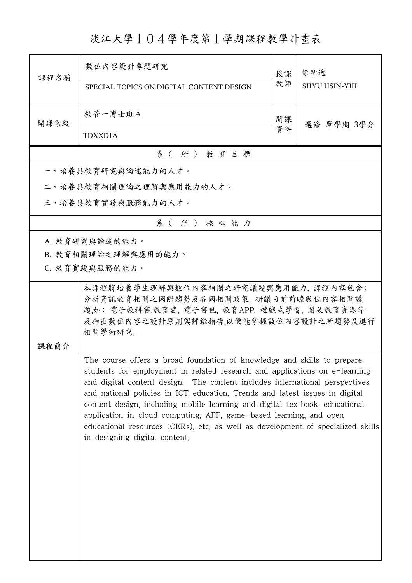淡江大學104學年度第1學期課程教學計畫表

|                                                                                                                                                                                                                                                                                                                                                                                                                                                                                                                                                                                              | 數位內容設計專題研究                                                                                                                                                                   | 授課 | 徐新逸<br><b>SHYU HSIN-YIH</b> |  |
|----------------------------------------------------------------------------------------------------------------------------------------------------------------------------------------------------------------------------------------------------------------------------------------------------------------------------------------------------------------------------------------------------------------------------------------------------------------------------------------------------------------------------------------------------------------------------------------------|------------------------------------------------------------------------------------------------------------------------------------------------------------------------------|----|-----------------------------|--|
| 課程名稱                                                                                                                                                                                                                                                                                                                                                                                                                                                                                                                                                                                         | SPECIAL TOPICS ON DIGITAL CONTENT DESIGN                                                                                                                                     | 教師 |                             |  |
| 開課系級                                                                                                                                                                                                                                                                                                                                                                                                                                                                                                                                                                                         | 教管一博士班A                                                                                                                                                                      | 開課 |                             |  |
|                                                                                                                                                                                                                                                                                                                                                                                                                                                                                                                                                                                              | <b>TDXXD1A</b>                                                                                                                                                               | 資料 | 選修 單學期 3學分                  |  |
|                                                                                                                                                                                                                                                                                                                                                                                                                                                                                                                                                                                              | 系(所)教育目標                                                                                                                                                                     |    |                             |  |
|                                                                                                                                                                                                                                                                                                                                                                                                                                                                                                                                                                                              | 一、培養具教育研究與論述能力的人才。                                                                                                                                                           |    |                             |  |
|                                                                                                                                                                                                                                                                                                                                                                                                                                                                                                                                                                                              | 二、培養具教育相關理論之理解與應用能力的人才。                                                                                                                                                      |    |                             |  |
|                                                                                                                                                                                                                                                                                                                                                                                                                                                                                                                                                                                              | 三、培養具教育實踐與服務能力的人才。                                                                                                                                                           |    |                             |  |
|                                                                                                                                                                                                                                                                                                                                                                                                                                                                                                                                                                                              | 系(所)核心能力                                                                                                                                                                     |    |                             |  |
|                                                                                                                                                                                                                                                                                                                                                                                                                                                                                                                                                                                              | A. 教育研究與論述的能力。                                                                                                                                                               |    |                             |  |
|                                                                                                                                                                                                                                                                                                                                                                                                                                                                                                                                                                                              | B. 教育相關理論之理解與應用的能力。                                                                                                                                                          |    |                             |  |
|                                                                                                                                                                                                                                                                                                                                                                                                                                                                                                                                                                                              | C. 教育實踐與服務的能力。                                                                                                                                                               |    |                             |  |
| 課程簡介                                                                                                                                                                                                                                                                                                                                                                                                                                                                                                                                                                                         | 本課程將培養學生理解與數位內容相關之研究議題與應用能力. 課程內容包含:<br>分析資訊教育相關之國際趨勢及各國相關政策,研議目前前瞻數位內容相關議<br>題,如: 電子教科書,教育雲, 電子書包, 教育APP, 遊戲式學習, 開放教育資源等<br>及指出數位內容之設計原則與評鑑指標,以便能掌握數位內容設計之新趨勢及進行<br>相關學術研究. |    |                             |  |
| The course offers a broad foundation of knowledge and skills to prepare<br>students for employment in related research and applications on e-learning<br>and digital content design. The content includes international perspectives<br>and national policies in ICT education, Trends and latest issues in digital<br>content design, including mobile learning and digital textbook, educational<br>application in cloud computing, APP, game-based learning, and open<br>educational resources (OERs), etc, as well as development of specialized skills<br>in designing digital content. |                                                                                                                                                                              |    |                             |  |

ı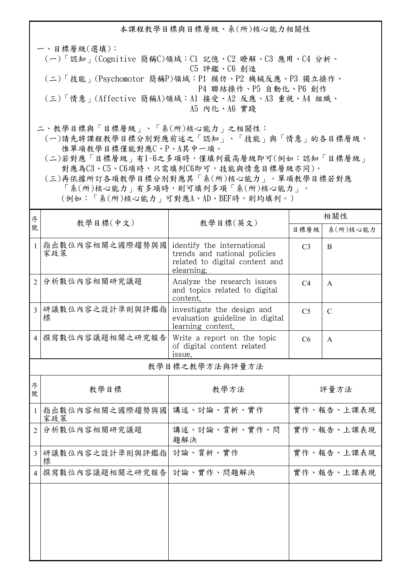本課程教學目標與目標層級、系(所)核心能力相關性

一、目標層級(選填): (一)「認知」(Cognitive 簡稱C)領域:C1 記憶、C2 瞭解、C3 應用、C4 分析、 C5 評鑑、C6 創造 (二)「技能」(Psychomotor 簡稱P)領域:P1 模仿、P2 機械反應、P3 獨立操作、 P4 聯結操作、P5 自動化、P6 創作 (三)「情意」(Affective 簡稱A)領域:A1 接受、A2 反應、A3 重視、A4 組織、 A5 內化、A6 實踐

二、教學目標與「目標層級」、「系(所)核心能力」之相關性:

 (一)請先將課程教學目標分別對應前述之「認知」、「技能」與「情意」的各目標層級, 惟單項教學目標僅能對應C、P、A其中一項。

 (二)若對應「目標層級」有1~6之多項時,僅填列最高層級即可(例如:認知「目標層級」 對應為C3、C5、C6項時,只需填列C6即可,技能與情意目標層級亦同)。

 (三)再依據所訂各項教學目標分別對應其「系(所)核心能力」。單項教學目標若對應 「系(所)核心能力」有多項時,則可填列多項「系(所)核心能力」。

(例如:「系(所)核心能力」可對應A、AD、BEF時,則均填列。)

| 序              |                          |                                                                                                            | 相關性            |               |  |  |  |
|----------------|--------------------------|------------------------------------------------------------------------------------------------------------|----------------|---------------|--|--|--|
| 號              | 教學目標(中文)                 | 教學目標(英文)                                                                                                   | 目標層級           | 系(所)核心能力      |  |  |  |
| $\mathbf{1}$   | 指出數位內容相關之國際趨勢與國<br>家政策   | identify the international<br>trends and national policies<br>related to digital content and<br>elearning. | C <sub>3</sub> | B             |  |  |  |
| $\overline{2}$ | 分析數位內容相關研究議題             | Analyze the research issues<br>and topics related to digital<br>content.                                   | C <sub>4</sub> | $\mathsf{A}$  |  |  |  |
| 3              | 研議數位內容之設計準則與評鑑指<br>標     | investigate the design and<br>evaluation guideline in digital<br>learning content.                         | C <sub>5</sub> | $\mathcal{C}$ |  |  |  |
|                | 4 撰寫數位內容議題相關之研究報告        | Write a report on the topic<br>of digital content related<br>issue.                                        | C6             | $\mathsf{A}$  |  |  |  |
|                | 教學目標之教學方法與評量方法           |                                                                                                            |                |               |  |  |  |
| 序<br>號         | 教學目標                     | 教學方法                                                                                                       |                | 評量方法          |  |  |  |
| 1              | 指出數位內容相關之國際趨勢與國<br>家政策   | 講述、討論、賞析、實作                                                                                                |                | 實作、報告、上課表現    |  |  |  |
| $\overline{2}$ | 分析數位內容相關研究議題             | 講述、討論、賞析、實作、問<br>題解決                                                                                       |                | 實作、報告、上課表現    |  |  |  |
|                | 3  研議數位內容之設計準則與評鑑指 <br>標 | 討論、賞析、實作                                                                                                   |                | 實作、報告、上課表現    |  |  |  |
|                | 4 撰寫數位內容議題相關之研究報告        | 討論、實作、問題解決                                                                                                 |                | 實作、報告、上課表現    |  |  |  |
|                |                          |                                                                                                            |                |               |  |  |  |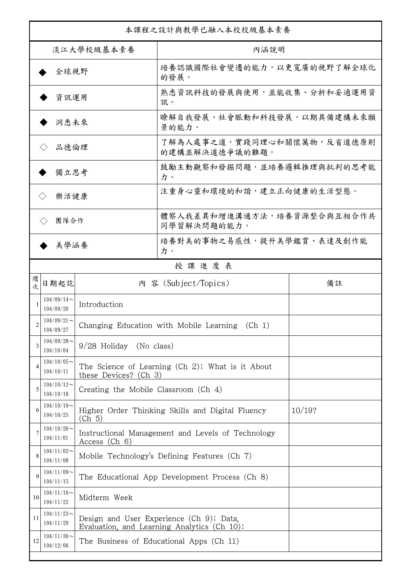| 本課程之設計與教學已融入本校校級基本素養                                                         |                                                                                                  |                                                |                                                                                         |        |  |
|------------------------------------------------------------------------------|--------------------------------------------------------------------------------------------------|------------------------------------------------|-----------------------------------------------------------------------------------------|--------|--|
| 淡江大學校級基本素養                                                                   |                                                                                                  |                                                | 內涵說明                                                                                    |        |  |
| 全球視野                                                                         |                                                                                                  |                                                | 培養認識國際社會變遷的能力,以更寬廣的視野了解全球化<br>的發展。                                                      |        |  |
| 資訊運用                                                                         |                                                                                                  |                                                | 熟悉資訊科技的發展與使用,並能收集、分析和妥適運用資<br>訊。                                                        |        |  |
| 洞悉未來                                                                         |                                                                                                  |                                                | 瞭解自我發展、社會脈動和科技發展,以期具備建構未來願<br>景的能力。                                                     |        |  |
| 品德倫理                                                                         |                                                                                                  |                                                | 了解為人處事之道,實踐同理心和關懷萬物,反省道德原則<br>的建構並解決道德爭議的難題。                                            |        |  |
| 獨立思考                                                                         |                                                                                                  |                                                | 鼓勵主動觀察和發掘問題,並培養邏輯推理與批判的思考能<br>力。                                                        |        |  |
| 樂活健康<br>$\langle \rangle$                                                    |                                                                                                  |                                                | 注重身心靈和環境的和諧,建立正向健康的生活型態。                                                                |        |  |
| 團隊合作<br>$\langle \ \rangle$                                                  |                                                                                                  |                                                | 體察人我差異和增進溝通方法,培養資源整合與互相合作共<br>同學習解決問題的能力。                                               |        |  |
| 美學涵養                                                                         |                                                                                                  |                                                | 培養對美的事物之易感性,提升美學鑑賞、表達及創作能<br>力。                                                         |        |  |
|                                                                              |                                                                                                  |                                                | 授課進度表                                                                                   |        |  |
| 週<br>欤                                                                       | 日期起訖                                                                                             |                                                | 內 容 (Subject/Topics)                                                                    | 備註     |  |
|                                                                              | $104/09/14$ ~<br>104/09/20                                                                       | Introduction                                   |                                                                                         |        |  |
| 2                                                                            | $104/09/21$ ~<br>104/09/27                                                                       |                                                | Changing Education with Mobile Learning<br>(Ch 1)                                       |        |  |
| 3                                                                            | $104/09/28$ ~<br>9/28 Holiday (No class)<br>104/10/04                                            |                                                |                                                                                         |        |  |
| 4                                                                            | $104/10/05$ ~<br>104/10/11                                                                       | these Devices? (Ch 3)                          | The Science of Learning (Ch 2); What is it About                                        |        |  |
| 5                                                                            | $104/10/12$ ~<br>104/10/18                                                                       | Creating the Mobile Classroom (Ch 4)           |                                                                                         |        |  |
| 6                                                                            | $104/10/19$ ~<br>104/10/25                                                                       | (Ch 5)                                         | Higher Order Thinking Skills and Digital Fluency                                        | 10/19? |  |
|                                                                              | $104/10/26$ ~<br>Instructional Management and Levels of Technology<br>104/11/01<br>Access (Ch 6) |                                                |                                                                                         |        |  |
| 8                                                                            | $104/11/02$ ~<br>104/11/08                                                                       | Mobile Technology's Defining Features (Ch 7)   |                                                                                         |        |  |
| 9                                                                            | $104/11/09$ ~<br>104/11/15                                                                       | The Educational App Development Process (Ch 8) |                                                                                         |        |  |
| 10                                                                           | $104/11/16 \sim$<br>104/11/22                                                                    | Midterm Week                                   |                                                                                         |        |  |
| 11                                                                           | $104/11/23$ ~<br>104/11/29                                                                       |                                                | Design and User Experience (Ch 9); Data,<br>Evaluation, and Learning Analytics (Ch 10); |        |  |
| $104/11/30$ ~<br>12<br>The Business of Educational Apps (Ch 11)<br>104/12/06 |                                                                                                  |                                                |                                                                                         |        |  |